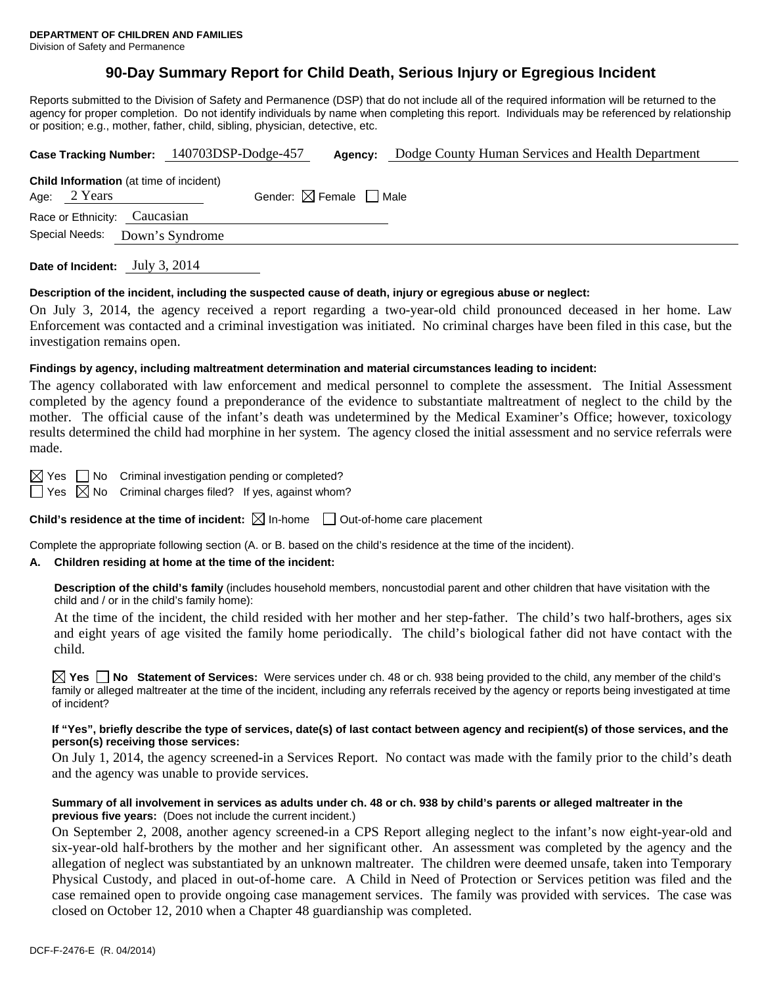# **90-Day Summary Report for Child Death, Serious Injury or Egregious Incident**

Reports submitted to the Division of Safety and Permanence (DSP) that do not include all of the required information will be returned to the agency for proper completion. Do not identify individuals by name when completing this report. Individuals may be referenced by relationship or position; e.g., mother, father, child, sibling, physician, detective, etc.

| Case Tracking Number: 140703DSP-Dodge-457 |                              | Agency:                                        | Dodge County Human Services and Health Department |  |
|-------------------------------------------|------------------------------|------------------------------------------------|---------------------------------------------------|--|
|                                           | Age: $2$ Years               | <b>Child Information</b> (at time of incident) | Gender: $\boxtimes$ Female $\Box$ Male            |  |
|                                           | Race or Ethnicity: Caucasian |                                                |                                                   |  |
|                                           | Special Needs:               | Down's Syndrome                                |                                                   |  |
|                                           |                              |                                                |                                                   |  |

**Date of Incident:** July 3, 2014

### **Description of the incident, including the suspected cause of death, injury or egregious abuse or neglect:**

On July 3, 2014, the agency received a report regarding a two-year-old child pronounced deceased in her home. Law Enforcement was contacted and a criminal investigation was initiated. No criminal charges have been filed in this case, but the investigation remains open.

### **Findings by agency, including maltreatment determination and material circumstances leading to incident:**

The agency collaborated with law enforcement and medical personnel to complete the assessment. The Initial Assessment completed by the agency found a preponderance of the evidence to substantiate maltreatment of neglect to the child by the mother. The official cause of the infant's death was undetermined by the Medical Examiner's Office; however, toxicology results determined the child had morphine in her system. The agency closed the initial assessment and no service referrals were made.

 $\boxtimes$  Yes  $\Box$  No Criminal investigation pending or completed?

 $\Box$  Yes  $\boxtimes$  No Criminal charges filed? If yes, against whom?

**Child's residence at the time of incident:**  $\boxtimes$  In-home  $\Box$  Out-of-home care placement

Complete the appropriate following section (A. or B. based on the child's residence at the time of the incident).

# **A. Children residing at home at the time of the incident:**

**Description of the child's family** (includes household members, noncustodial parent and other children that have visitation with the child and / or in the child's family home):

 At the time of the incident, the child resided with her mother and her step-father. The child's two half-brothers, ages six and eight years of age visited the family home periodically. The child's biological father did not have contact with the child.

**Yes No Statement of Services:** Were services under ch. 48 or ch. 938 being provided to the child, any member of the child's family or alleged maltreater at the time of the incident, including any referrals received by the agency or reports being investigated at time of incident?

#### **If "Yes", briefly describe the type of services, date(s) of last contact between agency and recipient(s) of those services, and the person(s) receiving those services:**

On July 1, 2014, the agency screened-in a Services Report. No contact was made with the family prior to the child's death and the agency was unable to provide services.

## **Summary of all involvement in services as adults under ch. 48 or ch. 938 by child's parents or alleged maltreater in the previous five years:** (Does not include the current incident.)

On September 2, 2008, another agency screened-in a CPS Report alleging neglect to the infant's now eight-year-old and six-year-old half-brothers by the mother and her significant other. An assessment was completed by the agency and the allegation of neglect was substantiated by an unknown maltreater. The children were deemed unsafe, taken into Temporary Physical Custody, and placed in out-of-home care. A Child in Need of Protection or Services petition was filed and the case remained open to provide ongoing case management services. The family was provided with services. The case was closed on October 12, 2010 when a Chapter 48 guardianship was completed.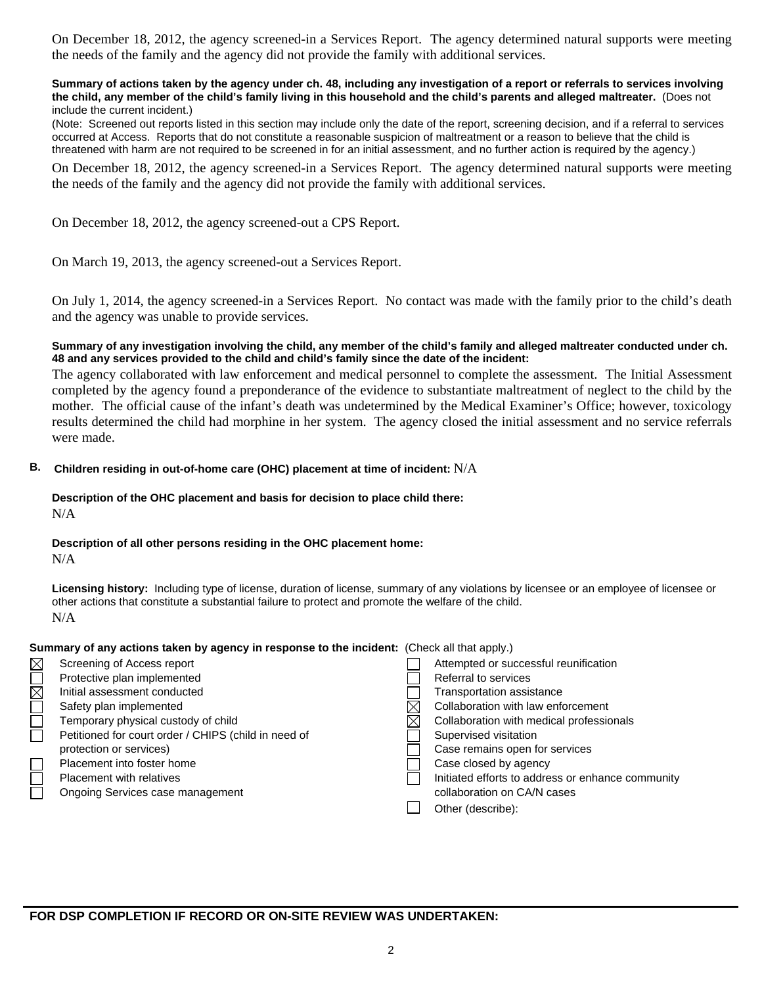On December 18, 2012, the agency screened-in a Services Report. The agency determined natural supports were meeting the needs of the family and the agency did not provide the family with additional services.

#### **Summary of actions taken by the agency under ch. 48, including any investigation of a report or referrals to services involving the child, any member of the child's family living in this household and the child's parents and alleged maltreater.** (Does not include the current incident.)

(Note: Screened out reports listed in this section may include only the date of the report, screening decision, and if a referral to services occurred at Access. Reports that do not constitute a reasonable suspicion of maltreatment or a reason to believe that the child is threatened with harm are not required to be screened in for an initial assessment, and no further action is required by the agency.)

On December 18, 2012, the agency screened-in a Services Report. The agency determined natural supports were meeting the needs of the family and the agency did not provide the family with additional services.

On December 18, 2012, the agency screened-out a CPS Report.

On March 19, 2013, the agency screened-out a Services Report.

On July 1, 2014, the agency screened-in a Services Report. No contact was made with the family prior to the child's death and the agency was unable to provide services.

## **Summary of any investigation involving the child, any member of the child's family and alleged maltreater conducted under ch. 48 and any services provided to the child and child's family since the date of the incident:**

The agency collaborated with law enforcement and medical personnel to complete the assessment. The Initial Assessment completed by the agency found a preponderance of the evidence to substantiate maltreatment of neglect to the child by the mother. The official cause of the infant's death was undetermined by the Medical Examiner's Office; however, toxicology results determined the child had morphine in her system. The agency closed the initial assessment and no service referrals were made.

# **B. Children residing in out-of-home care (OHC) placement at time of incident:** N/A

### **Description of the OHC placement and basis for decision to place child there:** N/A

# **Description of all other persons residing in the OHC placement home:**

N/A

**Licensing history:** Including type of license, duration of license, summary of any violations by licensee or an employee of licensee or other actions that constitute a substantial failure to protect and promote the welfare of the child. N/A

# **Summary of any actions taken by agency in response to the incident:** (Check all that apply.)

| $\boxtimes$             | Screening of Access report                           | Attempted or successful reunification             |
|-------------------------|------------------------------------------------------|---------------------------------------------------|
| $\overline{\mathbb{R}}$ | Protective plan implemented                          | Referral to services                              |
|                         | Initial assessment conducted                         | Transportation assistance                         |
|                         | Safety plan implemented                              | Collaboration with law enforcement                |
|                         | Temporary physical custody of child                  | Collaboration with medical professionals          |
|                         | Petitioned for court order / CHIPS (child in need of | Supervised visitation                             |
|                         | protection or services)                              | Case remains open for services                    |
|                         | Placement into foster home                           | Case closed by agency                             |
|                         | Placement with relatives                             | Initiated efforts to address or enhance community |
|                         | Ongoing Services case management                     | collaboration on CA/N cases                       |
|                         |                                                      | Other (describe):                                 |
|                         |                                                      |                                                   |